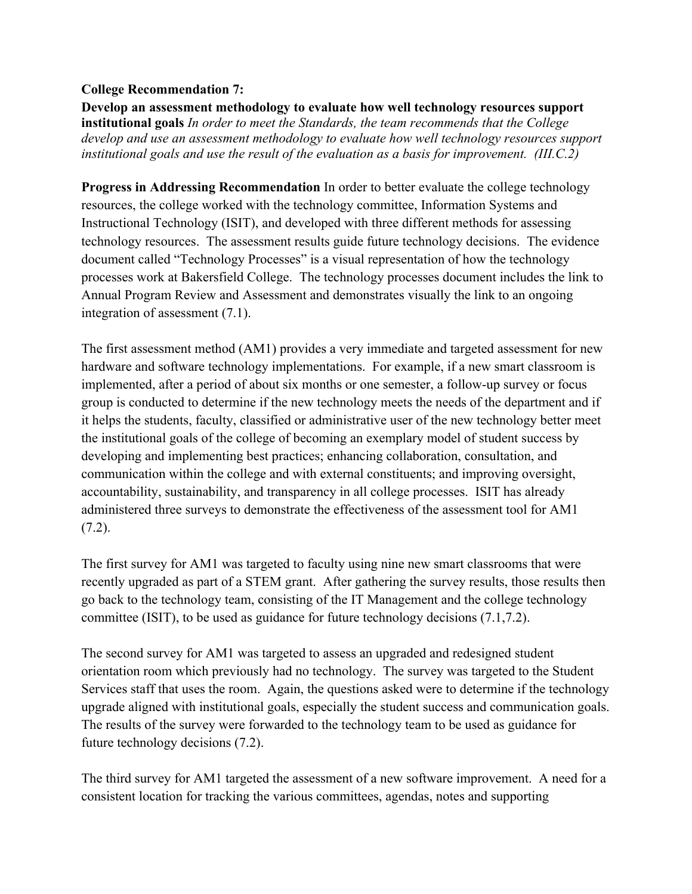## **College Recommendation 7:**

**Develop an assessment methodology to evaluate how well technology resources support institutional goals** *In order to meet the Standards, the team recommends that the College develop and use an assessment methodology to evaluate how well technology resources support institutional goals and use the result of the evaluation as a basis for improvement. (III.C.2)*

**Progress in Addressing Recommendation** In order to better evaluate the college technology resources, the college worked with the technology committee, Information Systems and Instructional Technology (ISIT), and developed with three different methods for assessing technology resources. The assessment results guide future technology decisions. The evidence document called "Technology Processes" is a visual representation of how the technology processes work at Bakersfield College. The technology processes document includes the link to Annual Program Review and Assessment and demonstrates visually the link to an ongoing integration of assessment (7.1).

The first assessment method (AM1) provides a very immediate and targeted assessment for new hardware and software technology implementations. For example, if a new smart classroom is implemented, after a period of about six months or one semester, a follow-up survey or focus group is conducted to determine if the new technology meets the needs of the department and if it helps the students, faculty, classified or administrative user of the new technology better meet the institutional goals of the college of becoming an exemplary model of student success by developing and implementing best practices; enhancing collaboration, consultation, and communication within the college and with external constituents; and improving oversight, accountability, sustainability, and transparency in all college processes. ISIT has already administered three surveys to demonstrate the effectiveness of the assessment tool for AM1 (7.2).

The first survey for AM1 was targeted to faculty using nine new smart classrooms that were recently upgraded as part of a STEM grant. After gathering the survey results, those results then go back to the technology team, consisting of the IT Management and the college technology committee (ISIT), to be used as guidance for future technology decisions (7.1,7.2).

The second survey for AM1 was targeted to assess an upgraded and redesigned student orientation room which previously had no technology. The survey was targeted to the Student Services staff that uses the room. Again, the questions asked were to determine if the technology upgrade aligned with institutional goals, especially the student success and communication goals. The results of the survey were forwarded to the technology team to be used as guidance for future technology decisions (7.2).

The third survey for AM1 targeted the assessment of a new software improvement. A need for a consistent location for tracking the various committees, agendas, notes and supporting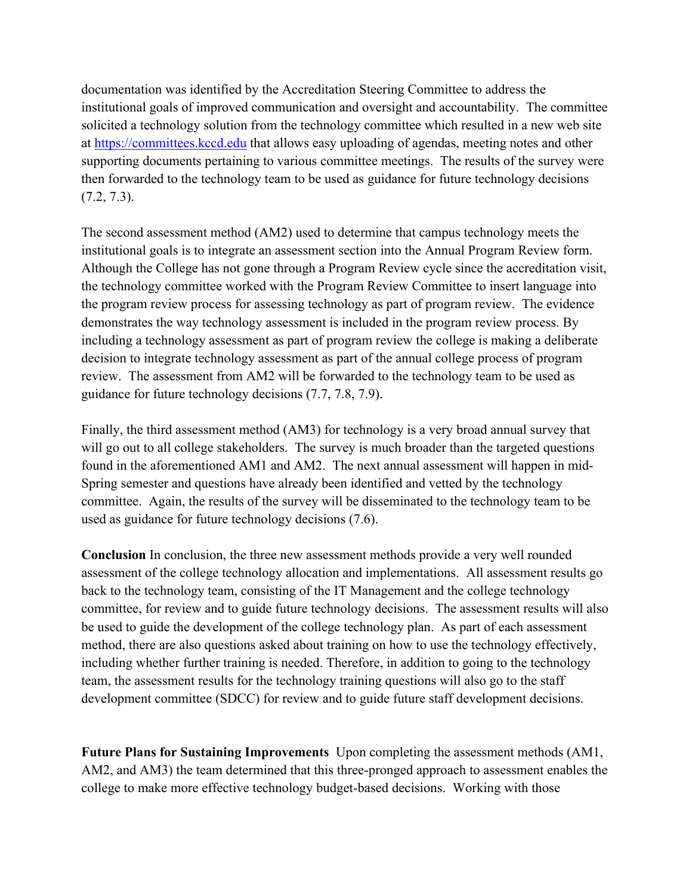documentation was identified by the Accreditation Steering Committee to address the institutional goals of improved communication and oversight and accountability. The committee solicited a technology solution from the technology committee which resulted in a new web site at https://committees.kccd.edu that allows easy uploading of agendas, meeting notes and other supporting documents pertaining to various committee meetings. The results of the survey were then forwarded to the technology team to be used as guidance for future technology decisions (7.2, 7.3).

The second assessment method (AM2) used to determine that campus technology meets the institutional goals is to integrate an assessment section into the Annual Program Review form. Although the College has not gone through a Program Review cycle since the accreditation visit, the technology committee worked with the Program Review Committee to insert language into the program review process for assessing technology as part of program review. The evidence demonstrates the way technology assessment is included in the program review process. By including a technology assessment as part of program review the college is making a deliberate decision to integrate technology assessment as part of the annual college process of program review. The assessment from AM2 will be forwarded to the technology team to be used as guidance for future technology decisions (7.7, 7.8, 7.9).

Finally, the third assessment method (AM3) for technology is a very broad annual survey that will go out to all college stakeholders. The survey is much broader than the targeted questions found in the aforementioned AM1 and AM2. The next annual assessment will happen in mid-Spring semester and questions have already been identified and vetted by the technology committee. Again, the results of the survey will be disseminated to the technology team to be used as guidance for future technology decisions (7.6).

**Conclusion** In conclusion, the three new assessment methods provide a very well rounded assessment of the college technology allocation and implementations. All assessment results go back to the technology team, consisting of the IT Management and the college technology committee, for review and to guide future technology decisions. The assessment results will also be used to guide the development of the college technology plan. As part of each assessment method, there are also questions asked about training on how to use the technology effectively, including whether further training is needed. Therefore, in addition to going to the technology team, the assessment results for the technology training questions will also go to the staff development committee (SDCC) for review and to guide future staff development decisions.

**Future Plans for Sustaining Improvements** Upon completing the assessment methods (AM1, AM2, and AM3) the team determined that this three-pronged approach to assessment enables the college to make more effective technology budget-based decisions. Working with those